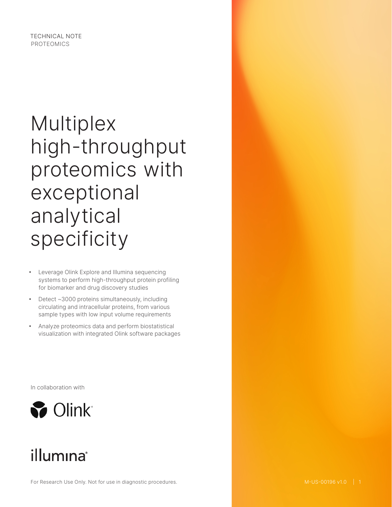TECHNICAL NOTE PROTEOMICS

# **Multiplex** high-throughput proteomics with exceptional analytical specificity

- • Leverage Olink Explore and Illumina sequencing systems to perform high-throughput protein profiling for biomarker and drug discovery studies
- Detect ~3000 proteins simultaneously, including circulating and intracellular proteins, from various sample types with low input volume requirements
- • Analyze proteomics data and perform biostatistical visualization with integrated Olink software packages

In collaboration with



## illumina®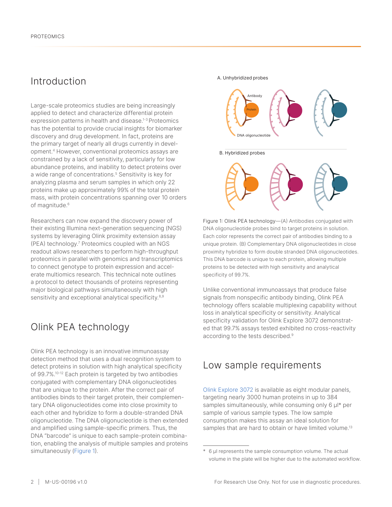## Introduction

Large-scale proteomics studies are being increasingly applied to detect and characterize differential protein expression patterns in health and disease.<sup>[1](#page-4-0)-3</sup> Proteomics has the potential to provide crucial insights for biomarker discovery and drug development. In fact, proteins are the primary target of nearly all drugs currently in development.[4](#page-4-1) However, conventional proteomics assays are constrained by a lack of sensitivity, particularly for low abundance proteins, and inability to detect proteins over a wide range of concentrations.<sup>[5](#page-4-2)</sup> Sensitivity is key for analyzing plasma and serum samples in which only 22 proteins make up approximately 99% of the total protein mass, with protein concentrations spanning over 10 orders of magnitude.<sup>6</sup>

Researchers can now expand the discovery power of their existing Illumina next-generation sequencing (NGS) systems by leveraging Olink proximity extension assay (PEA) technology.[7](#page-4-4) Proteomics coupled with an NGS readout allows researchers to perform high-throughput proteomics in parallel with genomics and transcriptomics to connect genotype to protein expression and accelerate multiomics research. This technical note outlines a protocol to detect thousands of proteins representing major biological pathways simultaneously with high sensitivity and exceptional analytical specificity.<sup>[8](#page-4-5),[9](#page-4-6)</sup>

## Olink PEA technology

Olink PEA technology is an innovative immunoassay detection method that uses a dual recognition system to detect proteins in solution with high analytical specificity of 99.7%[.10-](#page-4-7)[12](#page-4-8) Each protein is targeted by two antibodies conjugated with complementary DNA oligonucleotides that are unique to the protein. After the correct pair of antibodies binds to their target protein, their complementary DNA oligonucleotides come into close proximity to each other and hybridize to form a double-stranded DNA oligonucleotide. The DNA oligonucleotide is then extended and amplified using sample-specific primers. Thus, the DNA "barcode" is unique to each sample-protein combination, enabling the analysis of multiple samples and proteins simultaneously ([Figure 1](#page-1-0)).



<span id="page-1-0"></span>Figure 1: Olink PEA technology—(A) Antibodies conjugated with DNA oligonucleotide probes bind to target proteins in solution. Each color represents the correct pair of antibodies binding to a unique protein. (B) Complementary DNA oligonucleotides in close proximity hybridize to form double stranded DNA oligonucleotides. This DNA barcode is unique to each protein, allowing multiple proteins to be detected with high sensitivity and analytical specificity of 99.7%.

Unlike conventional immunoassays that produce false signals from nonspecific antibody binding, Olink PEA technology offers scalable multiplexing capability without loss in analytical specificity or sensitivity. Analytical specificity validation for Olink Explore 3072 demonstrated that 99.7% assays tested exhibited no cross-reactivity according to the tests described.<sup>9</sup>

## Low sample requirements

Olink [Explore](https://www.olink.com/products-services/explore/) 3072 is available as eight modular panels, targeting nearly 3000 human proteins in up to 384 samples simultaneously, while consuming only 6  $\mu$ l\* per sample of various sample types. The low sample consumption makes this assay an ideal solution for samples that are hard to obtain or have limited volume.<sup>13</sup>

<sup>\* 6</sup> μl represents the sample consumption volume. The actual volume in the plate will be higher due to the automated workflow.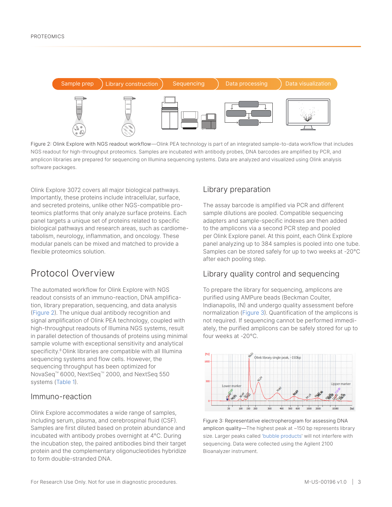

<span id="page-2-0"></span>Figure 2: Olink Explore with NGS readout workflow—Olink PEA technology is part of an integrated sample-to-data workflow that includes NGS readout for high-throughput proteomics. Samples are incubated with antibody probes, DNA barcodes are amplified by PCR, and amplicon libraries are prepared for sequencing on Illumina sequencing systems. Data are analyzed and visualized using Olink analysis software packages.

Olink Explore 3072 covers all major biological pathways. Importantly, these proteins include intracellular, surface, and secreted proteins, unlike other NGS-compatible proteomics platforms that only analyze surface proteins. Each panel targets a unique set of proteins related to specific biological pathways and research areas, such as cardiometabolism, neurology, inflammation, and oncology. These modular panels can be mixed and matched to provide a flexible proteomics solution.

## Protocol Overview

The automated workflow for Olink Explore with NGS readout consists of an immuno-reaction, DNA amplification, library preparation, sequencing, and data analysis ([Figure 2](#page-2-0)). The unique dual antibody recognition and signal amplification of Olink PEA technology, coupled with high-throughput readouts of Illumina NGS systems, result in parallel detection of thousands of proteins using minimal sample volume with exceptional sensitivity and analytical specificity.<sup>[8](#page-4-5)</sup> Olink libraries are compatible with all Illumina sequencing systems and flow cells. However, the sequencing throughput has been optimized for NovaSeq<sup>™</sup> 6000, NextSeq™ 2000, and NextSeq 550 systems ([Table](#page-3-0) 1).

#### Immuno-reaction

Olink Explore accommodates a wide range of samples, including serum, plasma, and cerebrospinal fluid (CSF). Samples are first diluted based on protein abundance and incubated with antibody probes overnight at 4°C. During the incubation step, the paired antibodies bind their target protein and the complementary oligonucleotides hybridize to form double-stranded DNA.

#### Library preparation

The assay barcode is amplified via PCR and different sample dilutions are pooled. Compatible sequencing adapters and sample-specific indexes are then added to the amplicons via a second PCR step and pooled per Olink Explore panel. At this point, each Olink Explore panel analyzing up to 384 samples is pooled into one tube. Samples can be stored safely for up to two weeks at -20°C after each pooling step.

#### Library quality control and sequencing

To prepare the library for sequencing, amplicons are purified using AMPure beads (Beckman Coulter, Indianapolis, IN) and undergo quality assessment before normalization ([Figure](#page-2-1) 3). Quantification of the amplicons is not required. If sequencing cannot be performed immediately, the purified amplicons can be safely stored for up to four weeks at -20°C.



<span id="page-2-1"></span>Figure 3: Representative electropherogram for assessing DNA amplicon quality—The highest peak at ~150 bp represents library size. Larger peaks called 'bubble [products](https://emea.support.illumina.com/bulletins/2019/10/bubble-products-in-sequencing-libraries--causes--identification-.html)' will not interfere with sequencing. Data were collected using the Agilent 2100 Bioanalyzer instrument.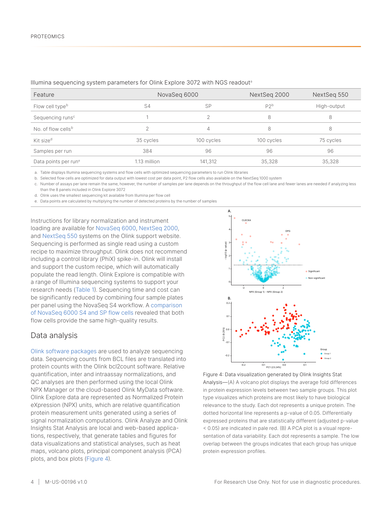| Feature                          | NovaSeq 6000 |            | NextSeq 2000    | NextSeq 550 |
|----------------------------------|--------------|------------|-----------------|-------------|
| Flow cell type <sup>b</sup>      | S4           | <b>SP</b>  | P2 <sup>b</sup> | High-output |
| Sequencing runs <sup>c</sup>     |              | ↷          | 8               | 8           |
| No. of flow cells <sup>b</sup>   |              | 4          | 8               | 8           |
| Kit size <sup>d</sup>            | 35 cycles    | 100 cycles | 100 cycles      | 75 cycles   |
| Samples per run                  | 384          | 96         | 96              | 96          |
| Data points per run <sup>e</sup> | 1.13 million | 141,312    | 35,328          | 35,328      |

<span id="page-3-0"></span>Illumina sequencing system parameters for Olink Explore 3072 with NGS readout<sup>a</sup>

a. Table displays Illumina sequencing systems and flow cells with optimized sequencing parameters to run Olink libraries

<span id="page-3-1"></span>b. Selected flow cells are optimized for data output with lowest cost per data point, P2 flow cells also available on the NextSeq 1000 system

c. Number of assays per lane remain the same, however, the number of samples per lane depends on the throughput of the flow cell lane and fewer lanes are needed if analyzing less than the 8 panels included in Olink Explore 3072

d. Olink uses the smallest sequencing kit available from Illumina per flow cell

e. Data points are calculated by multiplying the number of detected proteins by the number of samples

Instructions for library normalization and instrument loading are available for [NovaSeq](https://www.olink.com/content/uploads/2021/12/olink-explore-sequencing-using-novaseq-6000-user-manual-2021-10-01-v1.0.pdf) 6000, [NextSeq](https://www.olink.com/content/uploads/2021/12/olink-explore-sequencing-using-nextseq-2000-2021-10-01-v1.0.pdf) 2000, and [NextSeq](https://www.olink.com/content/uploads/2021/12/olink-explore-sequencing-using-nextseq-550-2021-12-01-v1.1.pdf) 550 systems on the Olink support website. Sequencing is performed as single read using a custom recipe to maximize throughput. Olink does not recommend including a control library (PhiX) spike-in. Olink will install and support the custom recipe, which will automatically populate the read length. Olink Explore is compatible with a range of Illumina sequencing systems to support your research needs ([Table 1](#page-3-0)). Sequencing time and cost can be significantly reduced by combining four sample plates per panel using the NovaSeq S4 workflow. A [comparison](https://www.olink.com/content/uploads/2021/09/olink-sps4-technical-note.pdf)  of [NovaSeq](https://www.olink.com/content/uploads/2021/09/olink-sps4-technical-note.pdf) 6000 S4 and SP flow cells revealed that both flow cells provide the same high-quality results.

#### Data analysis

Olink software [packages](https://www.olink.com/products-services/data-analysis-products/) are used to analyze sequencing data. Sequencing counts from BCL files are translated into protein counts with the Olink bcl2count software. Relative quantification, inter and intraassay normalizations, and QC analyses are then performed using the local Olink NPX Manager or the cloud-based Olink MyData software. Olink Explore data are represented as Normalized Protein eXpression (NPX) units, which are relative quantification protein measurement units generated using a series of signal normalization computations. Olink Analyze and Olink Insights Stat Analysis are local and web-based applications, respectively, that generate tables and figures for data visualizations and statistical analyses, such as heat maps, volcano plots, principal component analysis (PCA) plots, and box plots ([Figure 4](#page-3-2)).



<span id="page-3-2"></span>Figure 4: Data visualization generated by Olink Insights Stat Analysis—(A) A volcano plot displays the average fold differences in protein expression levels between two sample groups. This plot type visualizes which proteins are most likely to have biological relevance to the study. Each dot represents a unique protein. The dotted horizontal line represents a p-value of 0.05. Differentially expressed proteins that are statistically different (adjusted p-value < 0.05) are indicated in pale red. (B) A PCA plot is a visual representation of data variability. Each dot represents a sample. The low overlap between the groups indicates that each group has unique protein expression profiles.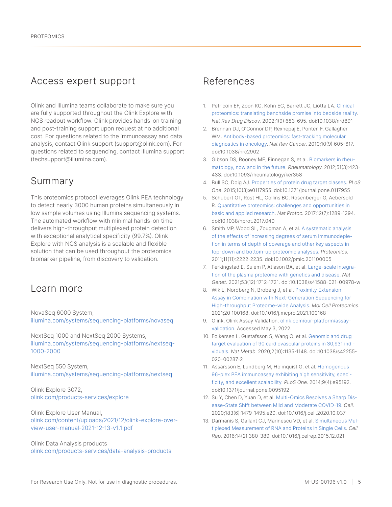## Access expert support

Olink and Illumina teams collaborate to make sure you are fully supported throughout the Olink Explore with NGS readout workflow. Olink provides hands-on training and post-training support upon request at no additional cost. For questions related to the immunoassay and data analysis, contact Olink support (support@olink.com). For questions related to sequencing, contact Illumina support (techsupport@illumina.com).

## Summary

This proteomics protocol leverages Olink PEA technology to detect nearly 3000 human proteins simultaneously in low sample volumes using Illumina sequencing systems. The automated workflow with minimal hands-on time delivers high-throughput multiplexed protein detection with exceptional analytical specificity (99.7%). Olink Explore with NGS analysis is a scalable and flexible solution that can be used throughout the proteomics biomarker pipeline, from discovery to validation.

### Learn more

NovaSeq 6000 System, [illumina.com/systems/sequencing-platforms/novaseq](https://www.illumina.com/systems/sequencing-platforms/novaseq.html)

NextSeq 1000 and NextSeq 2000 Systems, [illumina.com/systems/sequencing-platforms/nextseq-](https://www.illumina.com/systems/sequencing-platforms/nextseq-1000-2000.html)[1000-2000](https://www.illumina.com/systems/sequencing-platforms/nextseq-1000-2000.html)

NextSeq 550 System, [illumina.com/systems/sequencing-platforms/nextseq](https://www.illumina.com/systems/sequencing-platforms/nextseq.html)

Olink Explore 3072, [olink.com/products-services/explore](http://olink.com/products-services/explore/)

Olink Explore User Manual, [olink.com/content/uploads/2021/12/olink-explore-over](http://olink.com/content/uploads/2021/12/olink-explore-overview-user-manual-2021-12-13-v1.1.pdf)[view-user-manual-2021-12-13-v1.1.pdf](http://olink.com/content/uploads/2021/12/olink-explore-overview-user-manual-2021-12-13-v1.1.pdf)

Olink Data Analysis products [olink.com/products-services/data-analysis-products](http://olink.com/products-services/data-analysis-products/)

### References

- <span id="page-4-0"></span>1. Petricoin EF, Zoon KC, Kohn EC, Barrett JC, Liotta LA. Clinical [proteomics:](https://pubmed.ncbi.nlm.nih.gov/12209149/) translating benchside promise into bedside reality. *Nat Rev Drug Discov*. 2002;1(9):683-695. doi:10.1038/nrd891
- 2. Brennan DJ, O'Connor DP, Rexhepaj E, Ponten F, Gallagher WM. [Antibody-based](https://pubmed.ncbi.nlm.nih.gov/20720569/) proteomics: fast-tracking molecular [diagnostics](https://pubmed.ncbi.nlm.nih.gov/20720569/) in oncology. *Nat Rev Cancer*. 2010;10(9):605-617. doi:10.1038/nrc2902
- 3. Gibson DS, Rooney ME, Finnegan S, et al. [Biomarkers](https://pubmed.ncbi.nlm.nih.gov/22179724/) in rheu[matology,](https://pubmed.ncbi.nlm.nih.gov/22179724/) now and in the future. *Rheumatology*. 2012;51(3):423- 433. doi:10.1093/rheumatology/ker358
- <span id="page-4-1"></span>4. Bull SC, Doig AJ. [Properties](https://pubmed.ncbi.nlm.nih.gov/25822509/) of protein drug target classes. *PLoS One*. 2015;10(3):e0117955. doi:10.1371/journal.pone.0117955
- <span id="page-4-2"></span>5. Schubert OT, Röst HL, Collins BC, Rosenberger G, Aebersold R. Quantitative proteomics: challenges and [opportunities](https://pubmed.ncbi.nlm.nih.gov/28569762/) in basic and applied [research](https://pubmed.ncbi.nlm.nih.gov/28569762/). *Nat Protoc*. 2017;12(7):1289-1294. doi:10.1038/nprot.2017.040
- <span id="page-4-3"></span>6. Smith MP, Wood SL, Zougman A, et al. A systematic analysis of the effects of increasing degrees of serum [immunodeple](https://pubmed.ncbi.nlm.nih.gov/21548096/)tion in terms of depth of [coverage](https://pubmed.ncbi.nlm.nih.gov/21548096/) and other key aspects in top-down and [bottom-up](https://pubmed.ncbi.nlm.nih.gov/21548096/) proteomic analyses. *Proteomics*. 2011;11(11):2222-2235. doi:10.1002/pmic.201100005
- <span id="page-4-4"></span>7. Ferkingstad E, Sulem P, Atlason BA, et al. [Large-scale integra](https://pubmed.ncbi.nlm.nih.gov/34857953/)tion of the plasma [proteome](https://pubmed.ncbi.nlm.nih.gov/34857953/) with genetics and disease. *Nat Genet*. 2021;53(12):1712-1721. doi:10.1038/s41588-021-00978-w
- <span id="page-4-5"></span>8. Wik L, Nordberg N, Broberg J, et al. Proximity Extension Assay in Combination with [Next-Generation](https://pubmed.ncbi.nlm.nih.gov/34715355/) Sequencing for [High-throughput](https://pubmed.ncbi.nlm.nih.gov/34715355/) Proteome-wide Analysis. *Mol Cell Proteomics*. 2021;20:100168. doi:10.1016/j.mcpro.2021.100168
- <span id="page-4-6"></span>9. Olink. Olink Assay Validation. [olink.com/our-platform/assay](https://www.olink.com/our-platform/assay-validation/)[validation](https://www.olink.com/our-platform/assay-validation/). Accessed May 3, 2022.
- <span id="page-4-7"></span>10. Folkersen L, Gustafsson S, Wang Q, et al. [Genomic](https://pubmed.ncbi.nlm.nih.gov/33067605/) and drug target evaluation of 90 [cardiovascular](https://pubmed.ncbi.nlm.nih.gov/33067605/) proteins in 30,931 indi[viduals.](https://pubmed.ncbi.nlm.nih.gov/33067605/) *Nat Metab*. 2020;2(10):1135-1148. doi:10.1038/s42255- 020-00287-2
- 11. Assarsson E, Lundberg M, Holmquist G, et al. Homogenous 96-plex PEA [immunoassay](https://pubmed.ncbi.nlm.nih.gov/24755770/) exhibiting high sensitivity, specificity, and excellent [scalability.](https://pubmed.ncbi.nlm.nih.gov/24755770/) *PLoS One*. 2014;9(4):e95192. doi:10.1371/journal.pone.0095192
- <span id="page-4-8"></span>12. Su Y, Chen D, Yuan D, et al. Multi-Omics Resolves a Sharp Dis[ease-State](https://pubmed.ncbi.nlm.nih.gov/33171100/) Shift between Mild and Moderate COVID-19. *Cell*. 2020;183(6):1479-1495.e20. doi:10.1016/j.cell.2020.10.037
- <span id="page-4-9"></span>13. Darmanis S, Gallant CJ, Marinescu VD, et al. [Simultaneous Mul](https://pubmed.ncbi.nlm.nih.gov/26748716/)tiplexed [Measurement](https://pubmed.ncbi.nlm.nih.gov/26748716/) of RNA and Proteins in Single Cells. *Cell Rep*. 2016;14(2):380-389. doi:10.1016/j.celrep.2015.12.021